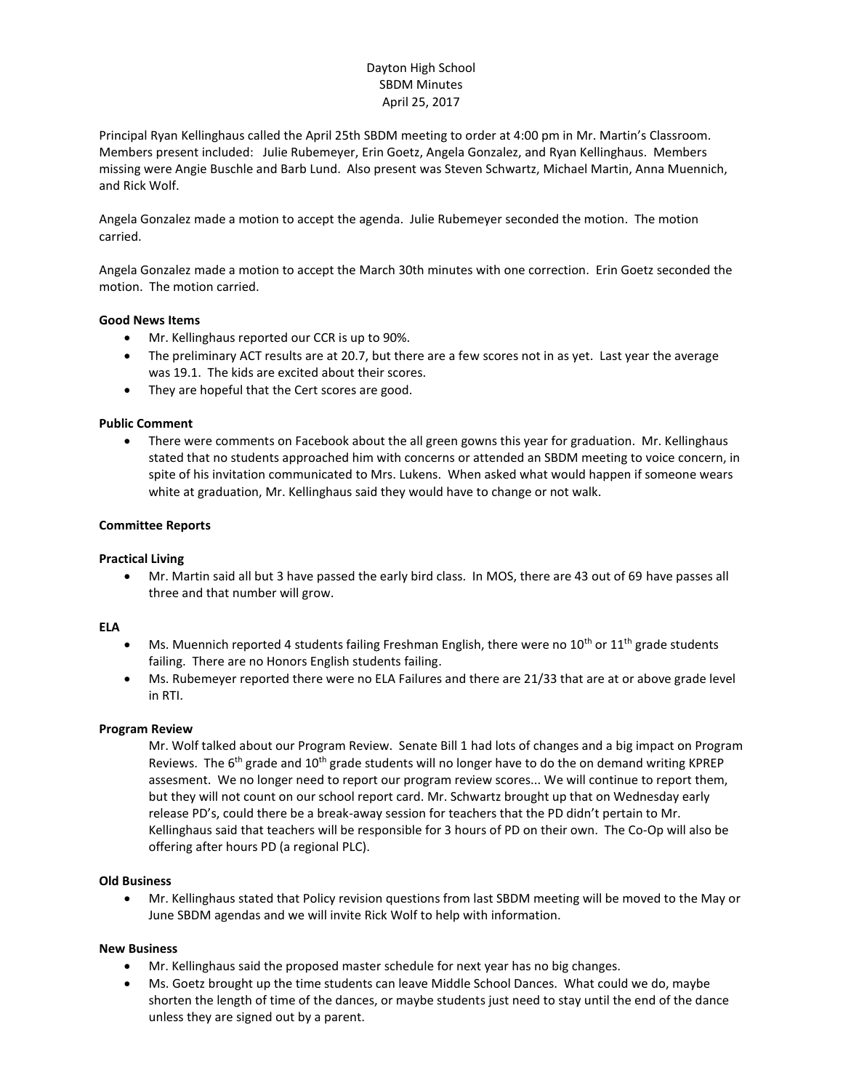# Dayton High School SBDM Minutes April 25, 2017

Principal Ryan Kellinghaus called the April 25th SBDM meeting to order at 4:00 pm in Mr. Martin's Classroom. Members present included: Julie Rubemeyer, Erin Goetz, Angela Gonzalez, and Ryan Kellinghaus. Members missing were Angie Buschle and Barb Lund. Also present was Steven Schwartz, Michael Martin, Anna Muennich, and Rick Wolf.

Angela Gonzalez made a motion to accept the agenda. Julie Rubemeyer seconded the motion. The motion carried.

Angela Gonzalez made a motion to accept the March 30th minutes with one correction. Erin Goetz seconded the motion. The motion carried.

## **Good News Items**

- Mr. Kellinghaus reported our CCR is up to 90%.
- The preliminary ACT results are at 20.7, but there are a few scores not in as yet. Last year the average was 19.1. The kids are excited about their scores.
- They are hopeful that the Cert scores are good.

### **Public Comment**

• There were comments on Facebook about the all green gowns this year for graduation. Mr. Kellinghaus stated that no students approached him with concerns or attended an SBDM meeting to voice concern, in spite of his invitation communicated to Mrs. Lukens. When asked what would happen if someone wears white at graduation, Mr. Kellinghaus said they would have to change or not walk.

#### **Committee Reports**

#### **Practical Living**

 Mr. Martin said all but 3 have passed the early bird class. In MOS, there are 43 out of 69 have passes all three and that number will grow.

#### **ELA**

- Ms. Muennich reported 4 students failing Freshman English, there were no  $10^{th}$  or  $11^{th}$  grade students failing. There are no Honors English students failing.
- Ms. Rubemeyer reported there were no ELA Failures and there are 21/33 that are at or above grade level in RTI.

#### **Program Review**

Mr. Wolf talked about our Program Review. Senate Bill 1 had lots of changes and a big impact on Program Reviews. The 6<sup>th</sup> grade and 10<sup>th</sup> grade students will no longer have to do the on demand writing KPREP assesment. We no longer need to report our program review scores... We will continue to report them, but they will not count on our school report card. Mr. Schwartz brought up that on Wednesday early release PD's, could there be a break-away session for teachers that the PD didn't pertain to Mr. Kellinghaus said that teachers will be responsible for 3 hours of PD on their own. The Co-Op will also be offering after hours PD (a regional PLC).

#### **Old Business**

 Mr. Kellinghaus stated that Policy revision questions from last SBDM meeting will be moved to the May or June SBDM agendas and we will invite Rick Wolf to help with information.

#### **New Business**

- Mr. Kellinghaus said the proposed master schedule for next year has no big changes.
- Ms. Goetz brought up the time students can leave Middle School Dances. What could we do, maybe shorten the length of time of the dances, or maybe students just need to stay until the end of the dance unless they are signed out by a parent.